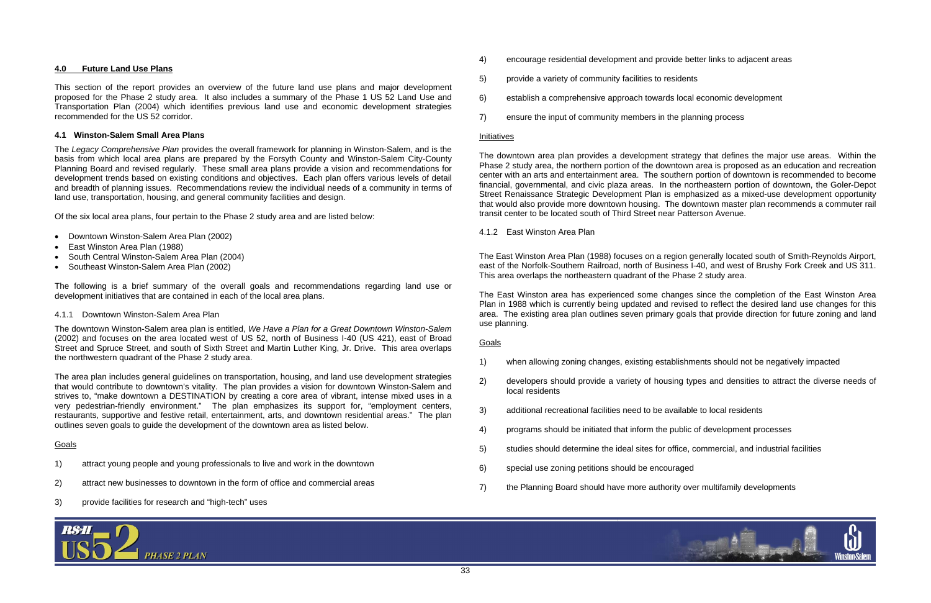- 
- 
- 



# **4.0 Future Land Use Plans**

This section of the report provides an overview of the future land use plans and major development proposed for the Phase 2 study area. It also includes a summary of the Phase 1 US 52 Land Use and Transportation Plan (2004) which identifies previous land use and economic development strategies recommended for the US 52 corridor.

# **4.1 Winston-Salem Small Area Plans**

The *Legacy Comprehensive Plan* provides the overall framework for planning in Winston-Salem, and is the basis from which local area plans are prepared by the Forsyth County and Winston-Salem City-County Planning Board and revised regularly. These small area plans provide a vision and recommendations for development trends based on existing conditions and objectives. Each plan offers various levels of detail and breadth of planning issues. Recommendations review the individual needs of a community in terms of land use, transportation, housing, and general community facilities and design.

Of the six local area plans, four pertain to the Phase 2 study area and are listed below:

- Downtown Winston-Salem Area Plan (2002)
- East Winston Area Plan (1988)
- South Central Winston-Salem Area Plan (2004)
- Southeast Winston-Salem Area Plan (2002)

The following is a brief summary of the overall goals and recommendations regarding land use or development initiatives that are contained in each of the local area plans.

# 4.1.1 Downtown Winston-Salem Area Plan

The downtown Winston-Salem area plan is entitled, *We Have a Plan for a Great Downtown Winston-Salem*  (2002) and focuses on the area located west of US 52, north of Business I-40 (US 421), east of Broad Street and Spruce Street, and south of Sixth Street and Martin Luther King, Jr. Drive. This area overlaps the northwestern quadrant of the Phase 2 study area.

The area plan includes general guidelines on transportation, housing, and land use development strategies that would contribute to downtown's vitality. The plan provides a vision for downtown Winston-Salem and strives to, "make downtown a DESTINATION by creating a core area of vibrant, intense mixed uses in a very pedestrian-friendly environment." The plan emphasizes its support for, "employment centers, restaurants, supportive and festive retail, entertainment, arts, and downtown residential areas." The plan outlines seven goals to guide the development of the downtown area as listed below.

# Goals

- 1) attract young people and young professionals to live and work in the downtown
- 2) attract new businesses to downtown in the form of office and commercial areas
- 3) provide facilities for research and "high-tech" uses



- 4) encourage residential development and provide better links to adjacent areas
- 5) provide a variety of community facilities to residents
- 6) establish a comprehensive approach towards local economic development
- 7) ensure the input of community members in the planning process

# <u>Initiatives</u>

The downtown area plan provides a development strategy that defines the major use areas. Within the Phase 2 study area, the northern portion of the downtown area is proposed as an education and recreation center with an arts and entertainment area. The southern portion of downtown is recommended to become financial, governmental, and civic plaza areas. In the northeastern portion of downtown, the Goler-Depot Street Renaissance Strategic Development Plan is emphasized as a mixed-use development opportunity that would also provide more downtown housing. The downtown master plan recommends a commuter rail transit center to be located south of Third Street near Patterson Avenue.

4.1.2 East Winston Area Plan

The East Winston Area Plan (1988) focuses on a region generally located south of Smith-Reynolds Airport, east of the Norfolk-Southern Railroad, north of Business I-40, and west of Brushy Fork Creek and US 311. This area overlaps the northeastern quadrant of the Phase 2 study area.

The East Winston area has experienced some changes since the completion of the East Winston Area Plan in 1988 which is currently being updated and revised to reflect the desired land use changes for this area. The existing area plan outlines seven primary goals that provide direction for future zoning and land use planning.

# Goals

- 1) when allowing zoning changes, existing establishments should not be negatively impacted
- 2) developers should provide a variety of housing types and densities to attract the diverse needs of local residents
- 3) additional recreational facilities need to be available to local residents
- 4) programs should be initiated that inform the public of development processes
- 5) studies should determine the ideal sites for office, commercial, and industrial facilities
- 6) special use zoning petitions should be encouraged
- 7) the Planning Board should have more authority over multifamily developments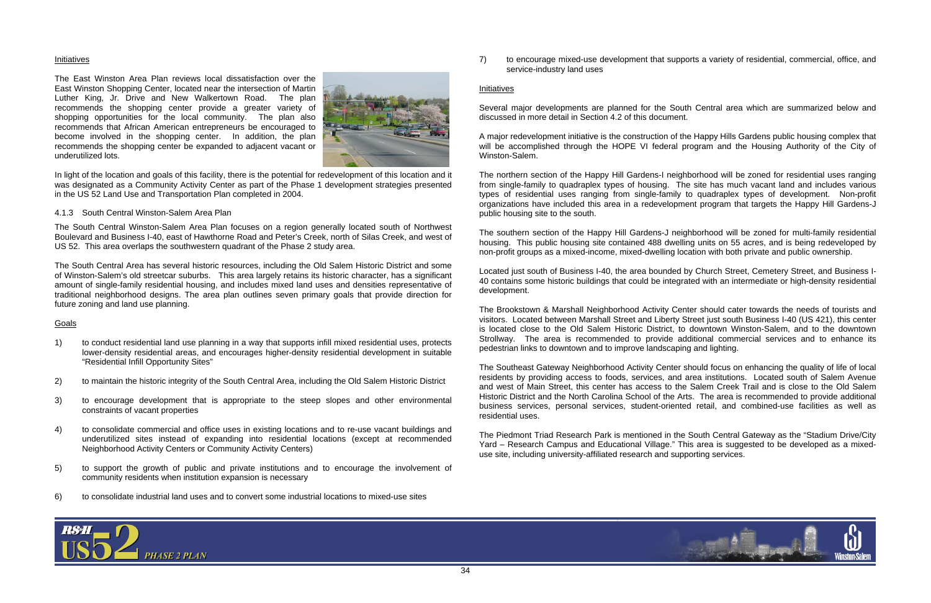

#### <u>Initiatives</u>

The East Winston Area Plan reviews local dissatisfaction over the East Winston Shopping Center, located near the intersection of Martin Luther King, Jr. Drive and New Walkertown Road. The plan recommends the shopping center provide a greater variety of shopping opportunities for the local community. The plan also recommends that African American entrepreneurs be encouraged to become involved in the shopping center. In addition, the plan recommends the shopping center be expanded to adjacent vacant or underutilized lots.



In light of the location and goals of this facility, there is the potential for redevelopment of this location and it was designated as a Community Activity Center as part of the Phase 1 development strategies presented in the US 52 Land Use and Transportation Plan completed in 2004.

#### 4.1.3 South Central Winston-Salem Area Plan

The South Central Winston-Salem Area Plan focuses on a region generally located south of Northwest Boulevard and Business I-40, east of Hawthorne Road and Peter's Creek, north of Silas Creek, and west of US 52. This area overlaps the southwestern quadrant of the Phase 2 study area.

The South Central Area has several historic resources, including the Old Salem Historic District and some of Winston-Salem's old streetcar suburbs. This area largely retains its historic character, has a significant amount of single-family residential housing, and includes mixed land uses and densities representative of traditional neighborhood designs. The area plan outlines seven primary goals that provide direction for future zoning and land use planning.

# Goals

- 1) to conduct residential land use planning in a way that supports infill mixed residential uses, protects lower-density residential areas, and encourages higher-density residential development in suitable "Residential Infill Opportunity Sites"
- 2) to maintain the historic integrity of the South Central Area, including the Old Salem Historic District
- 3) to encourage development that is appropriate to the steep slopes and other environmental constraints of vacant properties
- 4) to consolidate commercial and office uses in existing locations and to re-use vacant buildings and underutilized sites instead of expanding into residential locations (except at recommended Neighborhood Activity Centers or Community Activity Centers)
- 5) to support the growth of public and private institutions and to encourage the involvement of community residents when institution expansion is necessary
- 6) to consolidate industrial land uses and to convert some industrial locations to mixed-use sites

7) to encourage mixed-use development that supports a variety of residential, commercial, office, and service-industry land uses

#### <u>Initiatives</u>

Several major developments are planned for the South Central area which are summarized below and discussed in more detail in Section 4.2 of this document.

A major redevelopment initiative is the construction of the Happy Hills Gardens public housing complex that will be accomplished through the HOPE VI federal program and the Housing Authority of the City of Winston-Salem.

The northern section of the Happy Hill Gardens-I neighborhood will be zoned for residential uses ranging from single-family to quadraplex types of housing. The site has much vacant land and includes various types of residential uses ranging from single-family to quadraplex types of development. Non-profit organizations have included this area in a redevelopment program that targets the Happy Hill Gardens-J public housing site to the south.

The southern section of the Happy Hill Gardens-J neighborhood will be zoned for multi-family residential housing. This public housing site contained 488 dwelling units on 55 acres, and is being redeveloped by non-profit groups as a mixed-income, mixed-dwelling location with both private and public ownership.

Located just south of Business I-40, the area bounded by Church Street, Cemetery Street, and Business I-40 contains some historic buildings that could be integrated with an intermediate or high-density residential development.

The Brookstown & Marshall Neighborhood Activity Center should cater towards the needs of tourists and visitors. Located between Marshall Street and Liberty Street just south Business I-40 (US 421), this center is located close to the Old Salem Historic District, to downtown Winston-Salem, and to the downtown Strollway. The area is recommended to provide additional commercial services and to enhance its pedestrian links to downtown and to improve landscaping and lighting.

The Southeast Gateway Neighborhood Activity Center should focus on enhancing the quality of life of local residents by providing access to foods, services, and area institutions. Located south of Salem Avenue and west of Main Street, this center has access to the Salem Creek Trail and is close to the Old Salem Historic District and the North Carolina School of the Arts. The area is recommended to provide additional business services, personal services, student-oriented retail, and combined-use facilities as well as residential uses.

The Piedmont Triad Research Park is mentioned in the South Central Gateway as the "Stadium Drive/City Yard – Research Campus and Educational Village." This area is suggested to be developed as a mixeduse site, including university-affiliated research and supporting services.

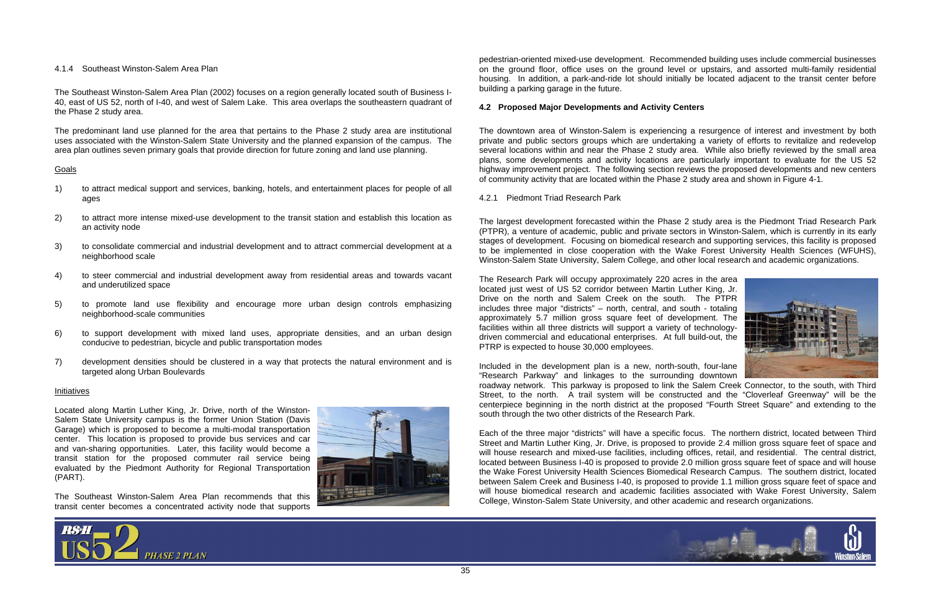



# 4.1.4 Southeast Winston-Salem Area Plan

The Southeast Winston-Salem Area Plan (2002) focuses on a region generally located south of Business I-40, east of US 52, north of I-40, and west of Salem Lake. This area overlaps the southeastern quadrant of the Phase 2 study area.

The predominant land use planned for the area that pertains to the Phase 2 study area are institutional uses associated with the Winston-Salem State University and the planned expansion of the campus. The area plan outlines seven primary goals that provide direction for future zoning and land use planning.

# Goals

- 1) to attract medical support and services, banking, hotels, and entertainment places for people of all ages
- 2) to attract more intense mixed-use development to the transit station and establish this location as an activity node
- 3) to consolidate commercial and industrial development and to attract commercial development at a neighborhood scale
- 4) to steer commercial and industrial development away from residential areas and towards vacant and underutilized space
- 5) to promote land use flexibility and encourage more urban design controls emphasizing neighborhood-scale communities
- 6) to support development with mixed land uses, appropriate densities, and an urban design conducive to pedestrian, bicycle and public transportation modes
- 7) development densities should be clustered in a way that protects the natural environment and is targeted along Urban Boulevards

#### <u>Initiatives</u>

Located along Martin Luther King, Jr. Drive, north of the Winston-Salem State University campus is the former Union Station (Davis Garage) which is proposed to become a multi-modal transportation center. This location is proposed to provide bus services and car and van-sharing opportunities. Later, this facility would become a transit station for the proposed commuter rail service being evaluated by the Piedmont Authority for Regional Transportation (PART).

The Southeast Winston-Salem Area Plan recommends that this transit center becomes a concentrated activity node that supports



pedestrian-oriented mixed-use development. Recommended building uses include commercial businesses on the ground floor, office uses on the ground level or upstairs, and assorted multi-family residential housing. In addition, a park-and-ride lot should initially be located adjacent to the transit center before building a parking garage in the future.

# **4.2 Proposed Major Developments and Activity Centers**

The downtown area of Winston-Salem is experiencing a resurgence of interest and investment by both private and public sectors groups which are undertaking a variety of efforts to revitalize and redevelop several locations within and near the Phase 2 study area. While also briefly reviewed by the small area plans, some developments and activity locations are particularly important to evaluate for the US 52 highway improvement project. The following section reviews the proposed developments and new centers of community activity that are located within the Phase 2 study area and shown in Figure 4-1.

4.2.1 Piedmont Triad Research Park

The largest development forecasted within the Phase 2 study area is the Piedmont Triad Research Park (PTPR), a venture of academic, public and private sectors in Winston-Salem, which is currently in its early stages of development. Focusing on biomedical research and supporting services, this facility is proposed to be implemented in close cooperation with the Wake Forest University Health Sciences (WFUHS), Winston-Salem State University, Salem College, and other local research and academic organizations.

The Research Park will occupy approximately 220 acres in the area located just west of US 52 corridor between Martin Luther King, Jr. Drive on the north and Salem Creek on the south. The PTPR includes three major "districts" – north, central, and south - totaling approximately 5.7 million gross square feet of development. The facilities within all three districts will support a variety of technologydriven commercial and educational enterprises. At full build-out, the PTRP is expected to house 30,000 employees.

Included in the development plan is a new, north-south, four-lane "Research Parkway" and linkages to the surrounding downtown roadway network. This parkway is proposed to link the Salem Creek Connector, to the south, with Third Street, to the north. A trail system will be constructed and the "Cloverleaf Greenway" will be the centerpiece beginning in the north district at the proposed "Fourth Street Square" and extending to the south through the two other districts of the Research Park.

Each of the three major "districts" will have a specific focus. The northern district, located between Third Street and Martin Luther King, Jr. Drive, is proposed to provide 2.4 million gross square feet of space and will house research and mixed-use facilities, including offices, retail, and residential. The central district, located between Business I-40 is proposed to provide 2.0 million gross square feet of space and will house the Wake Forest University Health Sciences Biomedical Research Campus. The southern district, located between Salem Creek and Business I-40, is proposed to provide 1.1 million gross square feet of space and will house biomedical research and academic facilities associated with Wake Forest University, Salem College, Winston-Salem State University, and other academic and research organizations.

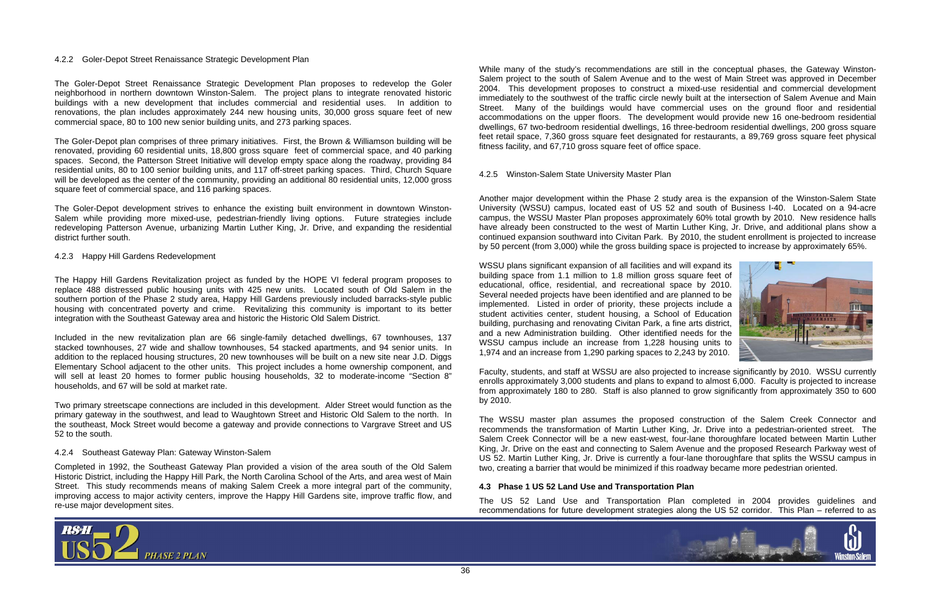



#### 4.2.2 Goler-Depot Street Renaissance Strategic Development Plan

The Goler-Depot Street Renaissance Strategic Development Plan proposes to redevelop the Goler neighborhood in northern downtown Winston-Salem. The project plans to integrate renovated historic buildings with a new development that includes commercial and residential uses. In addition to renovations, the plan includes approximately 244 new housing units, 30,000 gross square feet of new commercial space, 80 to 100 new senior building units, and 273 parking spaces.

The Goler-Depot plan comprises of three primary initiatives. First, the Brown & Williamson building will be renovated, providing 60 residential units, 18,800 gross square feet of commercial space, and 40 parking spaces. Second, the Patterson Street Initiative will develop empty space along the roadway, providing 84 residential units, 80 to 100 senior building units, and 117 off-street parking spaces. Third, Church Square will be developed as the center of the community, providing an additional 80 residential units, 12,000 gross square feet of commercial space, and 116 parking spaces.

The Goler-Depot development strives to enhance the existing built environment in downtown Winston-Salem while providing more mixed-use, pedestrian-friendly living options. Future strategies include redeveloping Patterson Avenue, urbanizing Martin Luther King, Jr. Drive, and expanding the residential district further south.

#### 4.2.3 Happy Hill Gardens Redevelopment

The Happy Hill Gardens Revitalization project as funded by the HOPE VI federal program proposes to replace 488 distressed public housing units with 425 new units. Located south of Old Salem in the southern portion of the Phase 2 study area, Happy Hill Gardens previously included barracks-style public housing with concentrated poverty and crime. Revitalizing this community is important to its better integration with the Southeast Gateway area and historic the Historic Old Salem District.

Included in the new revitalization plan are 66 single-family detached dwellings, 67 townhouses, 137 stacked townhouses, 27 wide and shallow townhouses, 54 stacked apartments, and 94 senior units. In addition to the replaced housing structures, 20 new townhouses will be built on a new site near J.D. Diggs Elementary School adjacent to the other units. This project includes a home ownership component, and will sell at least 20 homes to former public housing households, 32 to moderate-income "Section 8" households, and 67 will be sold at market rate.

Two primary streetscape connections are included in this development. Alder Street would function as the primary gateway in the southwest, and lead to Waughtown Street and Historic Old Salem to the north. In the southeast, Mock Street would become a gateway and provide connections to Vargrave Street and US 52 to the south.

#### 4.2.4 Southeast Gateway Plan: Gateway Winston-Salem

Completed in 1992, the Southeast Gateway Plan provided a vision of the area south of the Old Salem Historic District, including the Happy Hill Park, the North Carolina School of the Arts, and area west of Main Street. This study recommends means of making Salem Creek a more integral part of the community, improving access to major activity centers, improve the Happy Hill Gardens site, improve traffic flow, and re-use major development sites.

While many of the study's recommendations are still in the conceptual phases, the Gateway Winston-Salem project to the south of Salem Avenue and to the west of Main Street was approved in December 2004. This development proposes to construct a mixed-use residential and commercial development immediately to the southwest of the traffic circle newly built at the intersection of Salem Avenue and Main Street. Many of the buildings would have commercial uses on the ground floor and residential accommodations on the upper floors. The development would provide new 16 one-bedroom residential dwellings, 67 two-bedroom residential dwellings, 16 three-bedroom residential dwellings, 200 gross square feet retail space, 7,360 gross square feet designated for restaurants, a 89,769 gross square feet physical fitness facility, and 67,710 gross square feet of office space.

4.2.5 Winston-Salem State University Master Plan

Another major development within the Phase 2 study area is the expansion of the Winston-Salem State University (WSSU) campus, located east of US 52 and south of Business I-40. Located on a 94-acre campus, the WSSU Master Plan proposes approximately 60% total growth by 2010. New residence halls have already been constructed to the west of Martin Luther King, Jr. Drive, and additional plans show a continued expansion southward into Civitan Park. By 2010, the student enrollment is projected to increase by 50 percent (from 3,000) while the gross building space is projected to increase by approximately 65%.

WSSU plans significant expansion of all facilities and will expand its building space from 1.1 million to 1.8 million gross square feet of educational, office, residential, and recreational space by 2010. Several needed projects have been identified and are planned to be implemented. Listed in order of priority, these projects include a student activities center, student housing, a School of Education building, purchasing and renovating Civitan Park, a fine arts district, and a new Administration building. Other identified needs for the WSSU campus include an increase from 1,228 housing units to 1,974 and an increase from 1,290 parking spaces to 2,243 by 2010.

Faculty, students, and staff at WSSU are also projected to increase significantly by 2010. WSSU currently enrolls approximately 3,000 students and plans to expand to almost 6,000. Faculty is projected to increase from approximately 180 to 280. Staff is also planned to grow significantly from approximately 350 to 600 by 2010.

The WSSU master plan assumes the proposed construction of the Salem Creek Connector and recommends the transformation of Martin Luther King, Jr. Drive into a pedestrian-oriented street. The Salem Creek Connector will be a new east-west, four-lane thoroughfare located between Martin Luther King, Jr. Drive on the east and connecting to Salem Avenue and the proposed Research Parkway west of US 52. Martin Luther King, Jr. Drive is currently a four-lane thoroughfare that splits the WSSU campus in two, creating a barrier that would be minimized if this roadway became more pedestrian oriented.

# **4.3 Phase 1 US 52 Land Use and Transportation Plan**

The US 52 Land Use and Transportation Plan completed in 2004 provides guidelines and recommendations for future development strategies along the US 52 corridor. This Plan – referred to as

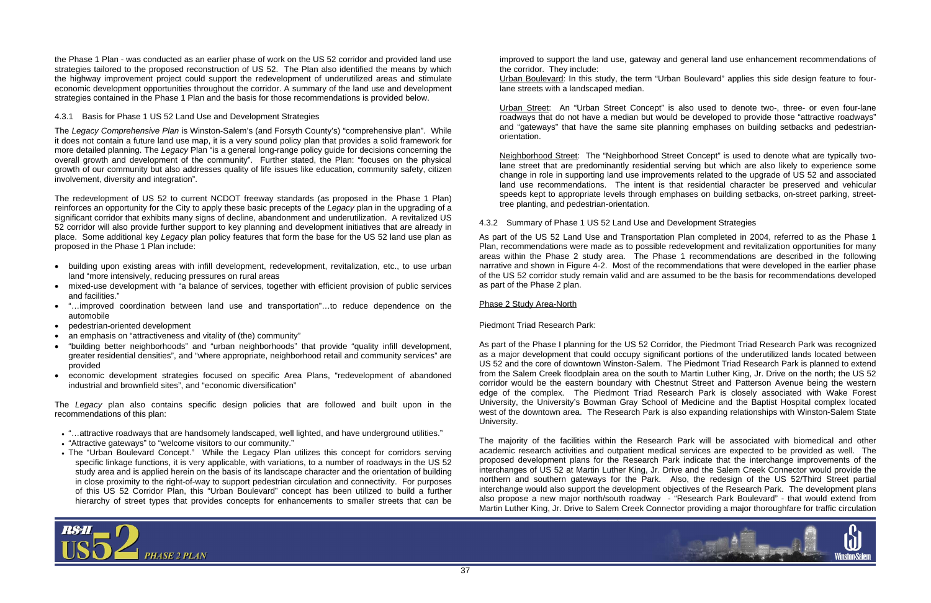

the Phase 1 Plan - was conducted as an earlier phase of work on the US 52 corridor and provided land use strategies tailored to the proposed reconstruction of US 52. The Plan also identified the means by which the highway improvement project could support the redevelopment of underutilized areas and stimulate economic development opportunities throughout the corridor. A summary of the land use and development strategies contained in the Phase 1 Plan and the basis for those recommendations is provided below.

## 4.3.1 Basis for Phase 1 US 52 Land Use and Development Strategies

The *Legacy Comprehensive Plan* is Winston-Salem's (and Forsyth County's) "comprehensive plan". While it does not contain a future land use map, it is a very sound policy plan that provides a solid framework for more detailed planning. The *Legacy* Plan "is a general long-range policy guide for decisions concerning the overall growth and development of the community". Further stated, the Plan: "focuses on the physical growth of our community but also addresses quality of life issues like education, community safety, citizen involvement, diversity and integration".

The redevelopment of US 52 to current NCDOT freeway standards (as proposed in the Phase 1 Plan) reinforces an opportunity for the City to apply these basic precepts of the *Legacy* plan in the upgrading of a significant corridor that exhibits many signs of decline, abandonment and underutilization. A revitalized US 52 corridor will also provide further support to key planning and development initiatives that are already in place. Some additional key *Legacy* plan policy features that form the base for the US 52 land use plan as proposed in the Phase 1 Plan include:

- building upon existing areas with infill development, redevelopment, revitalization, etc., to use urban land "more intensively, reducing pressures on rural areas
- mixed-use development with "a balance of services, together with efficient provision of public services and facilities."
- • "…improved coordination between land use and transportation"…to reduce dependence on the automobile
- pedestrian-oriented development
- an emphasis on "attractiveness and vitality of (the) community"
- • "building better neighborhoods" and "urban neighborhoods" that provide "quality infill development, greater residential densities", and "where appropriate, neighborhood retail and community services" are provided
- economic development strategies focused on specific Area Plans, "redevelopment of abandoned industrial and brownfield sites", and "economic diversification"

The *Legacy* plan also contains specific design policies that are followed and built upon in the recommendations of this plan:

- "…attractive roadways that are handsomely landscaped, well lighted, and have underground utilities."
- "Attractive gateways" to "welcome visitors to our community."
- The "Urban Boulevard Concept." While the Legacy Plan utilizes this concept for corridors serving specific linkage functions, it is very applicable, with variations, to a number of roadways in the US 52 study area and is applied herein on the basis of its landscape character and the orientation of building in close proximity to the right-of-way to support pedestrian circulation and connectivity. For purposes of this US 52 Corridor Plan, this "Urban Boulevard" concept has been utilized to build a further hierarchy of street types that provides concepts for enhancements to smaller streets that can be

improved to support the land use, gateway and general land use enhancement recommendations of the corridor. They include: Urban Boulevard: In this study, the term "Urban Boulevard" applies this side design feature to fourlane streets with a landscaped median.

Urban Street: An "Urban Street Concept" is also used to denote two-, three- or even four-lane roadways that do not have a median but would be developed to provide those "attractive roadways" and "gateways" that have the same site planning emphases on building setbacks and pedestrianorientation.

Neighborhood Street: The "Neighborhood Street Concept" is used to denote what are typically twolane street that are predominantly residential serving but which are also likely to experience some change in role in supporting land use improvements related to the upgrade of US 52 and associated land use recommendations. The intent is that residential character be preserved and vehicular speeds kept to appropriate levels through emphases on building setbacks, on-street parking, streettree planting, and pedestrian-orientation.

4.3.2 Summary of Phase 1 US 52 Land Use and Development Strategies

As part of the US 52 Land Use and Transportation Plan completed in 2004, referred to as the Phase 1 Plan, recommendations were made as to possible redevelopment and revitalization opportunities for many areas within the Phase 2 study area. The Phase 1 recommendations are described in the following narrative and shown in Figure 4-2. Most of the recommendations that were developed in the earlier phase of the US 52 corridor study remain valid and are assumed to be the basis for recommendations developed as part of the Phase 2 plan.

# Phase 2 Study Area-North

Piedmont Triad Research Park:

As part of the Phase I planning for the US 52 Corridor, the Piedmont Triad Research Park was recognized as a major development that could occupy significant portions of the underutilized lands located between US 52 and the core of downtown Winston-Salem. The Piedmont Triad Research Park is planned to extend from the Salem Creek floodplain area on the south to Martin Luther King, Jr. Drive on the north; the US 52 corridor would be the eastern boundary with Chestnut Street and Patterson Avenue being the western edge of the complex. The Piedmont Triad Research Park is closely associated with Wake Forest University, the University's Bowman Gray School of Medicine and the Baptist Hospital complex located west of the downtown area. The Research Park is also expanding relationships with Winston-Salem State University.

The majority of the facilities within the Research Park will be associated with biomedical and other academic research activities and outpatient medical services are expected to be provided as well. The proposed development plans for the Research Park indicate that the interchange improvements of the interchanges of US 52 at Martin Luther King, Jr. Drive and the Salem Creek Connector would provide the northern and southern gateways for the Park. Also, the redesign of the US 52/Third Street partial interchange would also support the development objectives of the Research Park. The development plans also propose a new major north/south roadway - "Research Park Boulevard" - that would extend from Martin Luther King, Jr. Drive to Salem Creek Connector providing a major thoroughfare for traffic circulation

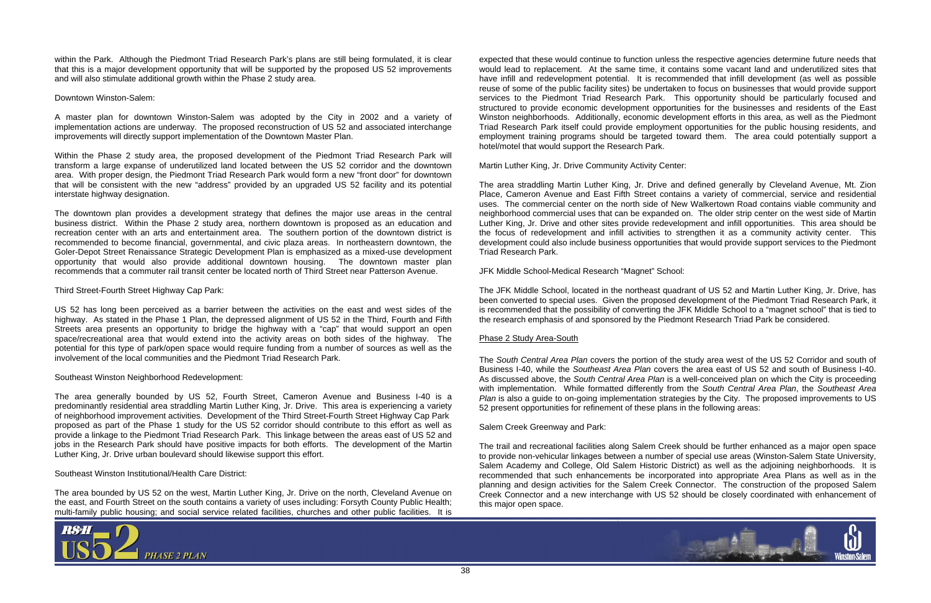

within the Park. Although the Piedmont Triad Research Park's plans are still being formulated, it is clear that this is a major development opportunity that will be supported by the proposed US 52 improvements and will also stimulate additional growth within the Phase 2 study area.

## Downtown Winston-Salem:

A master plan for downtown Winston-Salem was adopted by the City in 2002 and a variety of implementation actions are underway. The proposed reconstruction of US 52 and associated interchange improvements will directly support implementation of the Downtown Master Plan.

Within the Phase 2 study area, the proposed development of the Piedmont Triad Research Park will transform a large expanse of underutilized land located between the US 52 corridor and the downtown area. With proper design, the Piedmont Triad Research Park would form a new "front door" for downtown that will be consistent with the new "address" provided by an upgraded US 52 facility and its potential interstate highway designation.

The downtown plan provides a development strategy that defines the major use areas in the central business district. Within the Phase 2 study area, northern downtown is proposed as an education and recreation center with an arts and entertainment area. The southern portion of the downtown district is recommended to become financial, governmental, and civic plaza areas. In northeastern downtown, the Goler-Depot Street Renaissance Strategic Development Plan is emphasized as a mixed-use development opportunity that would also provide additional downtown housing. The downtown master plan recommends that a commuter rail transit center be located north of Third Street near Patterson Avenue.

## Third Street-Fourth Street Highway Cap Park:

US 52 has long been perceived as a barrier between the activities on the east and west sides of the highway. As stated in the Phase 1 Plan, the depressed alignment of US 52 in the Third, Fourth and Fifth Streets area presents an opportunity to bridge the highway with a "cap" that would support an open space/recreational area that would extend into the activity areas on both sides of the highway. The potential for this type of park/open space would require funding from a number of sources as well as the involvement of the local communities and the Piedmont Triad Research Park.

# Southeast Winston Neighborhood Redevelopment:

The area generally bounded by US 52, Fourth Street, Cameron Avenue and Business I-40 is a predominantly residential area straddling Martin Luther King, Jr. Drive. This area is experiencing a variety of neighborhood improvement activities. Development of the Third Street-Fourth Street Highway Cap Park proposed as part of the Phase 1 study for the US 52 corridor should contribute to this effort as well as provide a linkage to the Piedmont Triad Research Park. This linkage between the areas east of US 52 and jobs in the Research Park should have positive impacts for both efforts. The development of the Martin Luther King, Jr. Drive urban boulevard should likewise support this effort.

#### Southeast Winston Institutional/Health Care District:

The area bounded by US 52 on the west, Martin Luther King, Jr. Drive on the north, Cleveland Avenue on the east, and Fourth Street on the south contains a variety of uses including: Forsyth County Public Health; multi-family public housing; and social service related facilities, churches and other public facilities. It is



expected that these would continue to function unless the respective agencies determine future needs that would lead to replacement. At the same time, it contains some vacant land and underutilized sites that have infill and redevelopment potential. It is recommended that infill development (as well as possible reuse of some of the public facility sites) be undertaken to focus on businesses that would provide support services to the Piedmont Triad Research Park. This opportunity should be particularly focused and structured to provide economic development opportunities for the businesses and residents of the East Winston neighborhoods. Additionally, economic development efforts in this area, as well as the Piedmont Triad Research Park itself could provide employment opportunities for the public housing residents, and employment training programs should be targeted toward them. The area could potentially support a hotel/motel that would support the Research Park.

Martin Luther King, Jr. Drive Community Activity Center:

The area straddling Martin Luther King, Jr. Drive and defined generally by Cleveland Avenue, Mt. Zion Place, Cameron Avenue and East Fifth Street contains a variety of commercial, service and residential uses. The commercial center on the north side of New Walkertown Road contains viable community and neighborhood commercial uses that can be expanded on. The older strip center on the west side of Martin Luther King, Jr. Drive and other sites provide redevelopment and infill opportunities. This area should be the focus of redevelopment and infill activities to strengthen it as a community activity center. This development could also include business opportunities that would provide support services to the Piedmont Triad Research Park.

JFK Middle School-Medical Research "Magnet" School:

The JFK Middle School, located in the northeast quadrant of US 52 and Martin Luther King, Jr. Drive, has been converted to special uses. Given the proposed development of the Piedmont Triad Research Park, it is recommended that the possibility of converting the JFK Middle School to a "magnet school" that is tied to the research emphasis of and sponsored by the Piedmont Research Triad Park be considered.

# Phase 2 Study Area-South

The *South Central Area Plan* covers the portion of the study area west of the US 52 Corridor and south of Business I-40, while the *Southeast Area Plan* covers the area east of US 52 and south of Business I-40. As discussed above, the *South Central Area Plan* is a well-conceived plan on which the City is proceeding with implementation. While formatted differently from the *South Central Area Plan*, the *Southeast Area Plan* is also a guide to on-going implementation strategies by the City. The proposed improvements to US 52 present opportunities for refinement of these plans in the following areas:

Salem Creek Greenway and Park:

The trail and recreational facilities along Salem Creek should be further enhanced as a major open space to provide non-vehicular linkages between a number of special use areas (Winston-Salem State University, Salem Academy and College, Old Salem Historic District) as well as the adjoining neighborhoods. It is recommended that such enhancements be incorporated into appropriate Area Plans as well as in the planning and design activities for the Salem Creek Connector. The construction of the proposed Salem Creek Connector and a new interchange with US 52 should be closely coordinated with enhancement of this major open space.